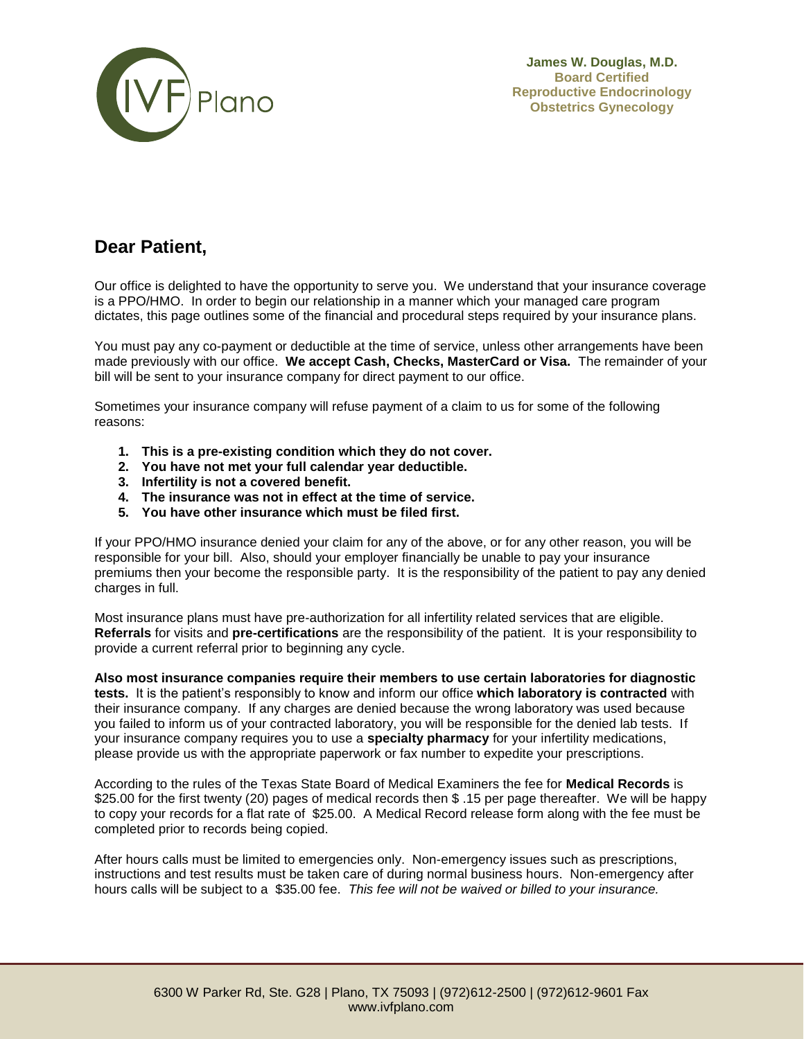

**James W. Douglas, M.D. Board Certified Reproductive Endocrinology Obstetrics Gynecology**

## **Dear Patient,**

Our office is delighted to have the opportunity to serve you. We understand that your insurance coverage is a PPO/HMO. In order to begin our relationship in a manner which your managed care program dictates, this page outlines some of the financial and procedural steps required by your insurance plans.

You must pay any co-payment or deductible at the time of service, unless other arrangements have been made previously with our office. **We accept Cash, Checks, MasterCard or Visa.** The remainder of your bill will be sent to your insurance company for direct payment to our office.

Sometimes your insurance company will refuse payment of a claim to us for some of the following reasons:

- **1. This is a pre-existing condition which they do not cover.**
- **2. You have not met your full calendar year deductible.**
- **3. Infertility is not a covered benefit.**
- **4. The insurance was not in effect at the time of service.**
- **5. You have other insurance which must be filed first.**

If your PPO/HMO insurance denied your claim for any of the above, or for any other reason, you will be responsible for your bill. Also, should your employer financially be unable to pay your insurance premiums then your become the responsible party. It is the responsibility of the patient to pay any denied charges in full.

Most insurance plans must have pre-authorization for all infertility related services that are eligible. **Referrals** for visits and **pre-certifications** are the responsibility of the patient. It is your responsibility to provide a current referral prior to beginning any cycle.

**Also most insurance companies require their members to use certain laboratories for diagnostic tests.** It is the patient's responsibly to know and inform our office **which laboratory is contracted** with their insurance company. If any charges are denied because the wrong laboratory was used because you failed to inform us of your contracted laboratory, you will be responsible for the denied lab tests. If your insurance company requires you to use a **specialty pharmacy** for your infertility medications, please provide us with the appropriate paperwork or fax number to expedite your prescriptions.

According to the rules of the Texas State Board of Medical Examiners the fee for **Medical Records** is \$25.00 for the first twenty (20) pages of medical records then \$ .15 per page thereafter. We will be happy to copy your records for a flat rate of \$25.00. A Medical Record release form along with the fee must be completed prior to records being copied.

After hours calls must be limited to emergencies only. Non-emergency issues such as prescriptions, instructions and test results must be taken care of during normal business hours. Non-emergency after hours calls will be subject to a \$35.00 fee. *This fee will not be waived or billed to your insurance.*